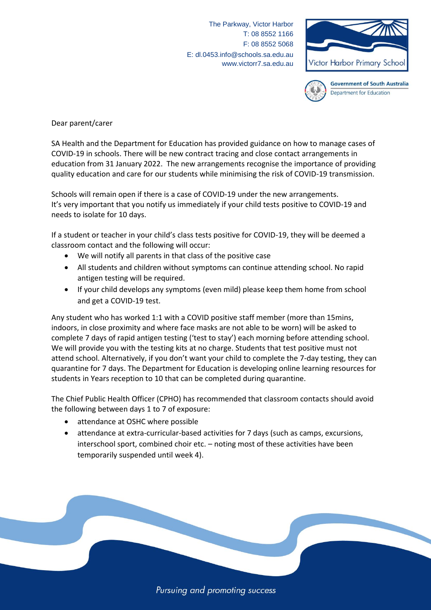The Parkway, Victor Harbor T: 08 8552 1166 F: 08 8552 5068 E: dl.0453.info@schools.sa.edu.au www.victorr7.sa.edu.au





**Government of South Australia** Department for Education

Dear parent/carer

SA Health and the Department for Education has provided guidance on how to manage cases of COVID-19 in schools. There will be new contract tracing and close contact arrangements in education from 31 January 2022. The new arrangements recognise the importance of providing quality education and care for our students while minimising the risk of COVID-19 transmission.

Schools will remain open if there is a case of COVID-19 under the new arrangements. It's very important that you notify us immediately if your child tests positive to COVID-19 and needs to isolate for 10 days.

If a student or teacher in your child's class tests positive for COVID-19, they will be deemed a classroom contact and the following will occur:

- We will notify all parents in that class of the positive case
- All students and children without symptoms can continue attending school. No rapid antigen testing will be required.
- If your child develops any symptoms (even mild) please keep them home from school and get a COVID-19 test.

Any student who has worked 1:1 with a COVID positive staff member (more than 15mins, indoors, in close proximity and where face masks are not able to be worn) will be asked to complete 7 days of rapid antigen testing ('test to stay') each morning before attending school. We will provide you with the testing kits at no charge. Students that test positive must not attend school. Alternatively, if you don't want your child to complete the 7-day testing, they can quarantine for 7 days. The Department for Education is developing online learning resources for students in Years reception to 10 that can be completed during quarantine.

The Chief Public Health Officer (CPHO) has recommended that classroom contacts should avoid the following between days 1 to 7 of exposure:

- attendance at OSHC where possible
- attendance at extra-curricular-based activities for 7 days (such as camps, excursions, interschool sport, combined choir etc. – noting most of these activities have been temporarily suspended until week 4).

Pursuing and promoting success